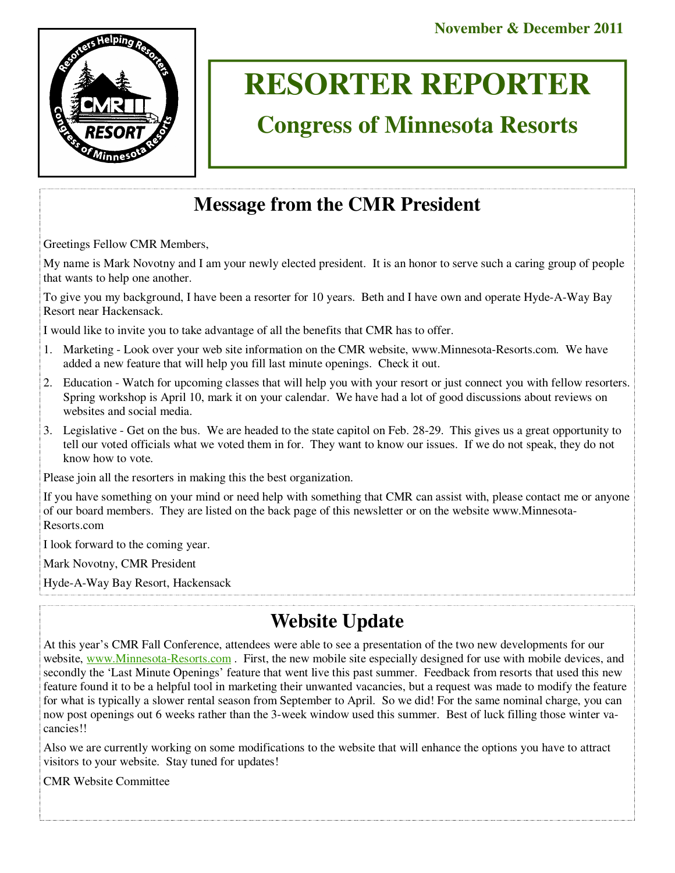

# **RESORTER REPORTER**

# **Congress of Minnesota Resorts**

# **Message from the CMR President**

Greetings Fellow CMR Members,

My name is Mark Novotny and I am your newly elected president. It is an honor to serve such a caring group of people that wants to help one another.

To give you my background, I have been a resorter for 10 years. Beth and I have own and operate Hyde-A-Way Bay Resort near Hackensack.

I would like to invite you to take advantage of all the benefits that CMR has to offer.

- 1. Marketing Look over your web site information on the CMR website, www.Minnesota-Resorts.com. We have added a new feature that will help you fill last minute openings. Check it out.
- 2. Education Watch for upcoming classes that will help you with your resort or just connect you with fellow resorters. Spring workshop is April 10, mark it on your calendar. We have had a lot of good discussions about reviews on websites and social media.
- 3. Legislative Get on the bus. We are headed to the state capitol on Feb. 28-29. This gives us a great opportunity to tell our voted officials what we voted them in for. They want to know our issues. If we do not speak, they do not know how to vote.

Please join all the resorters in making this the best organization.

If you have something on your mind or need help with something that CMR can assist with, please contact me or anyone of our board members. They are listed on the back page of this newsletter or on the website www.Minnesota-Resorts.com

I look forward to the coming year.

Mark Novotny, CMR President

Hyde-A-Way Bay Resort, Hackensack

## **Website Update**

At this year's CMR Fall Conference, attendees were able to see a presentation of the two new developments for our website, www.Minnesota-Resorts.com. First, the new mobile site especially designed for use with mobile devices, and secondly the 'Last Minute Openings' feature that went live this past summer. Feedback from resorts that used this new feature found it to be a helpful tool in marketing their unwanted vacancies, but a request was made to modify the feature for what is typically a slower rental season from September to April. So we did! For the same nominal charge, you can now post openings out 6 weeks rather than the 3-week window used this summer. Best of luck filling those winter vacancies!!

Also we are currently working on some modifications to the website that will enhance the options you have to attract visitors to your website. Stay tuned for updates!

CMR Website Committee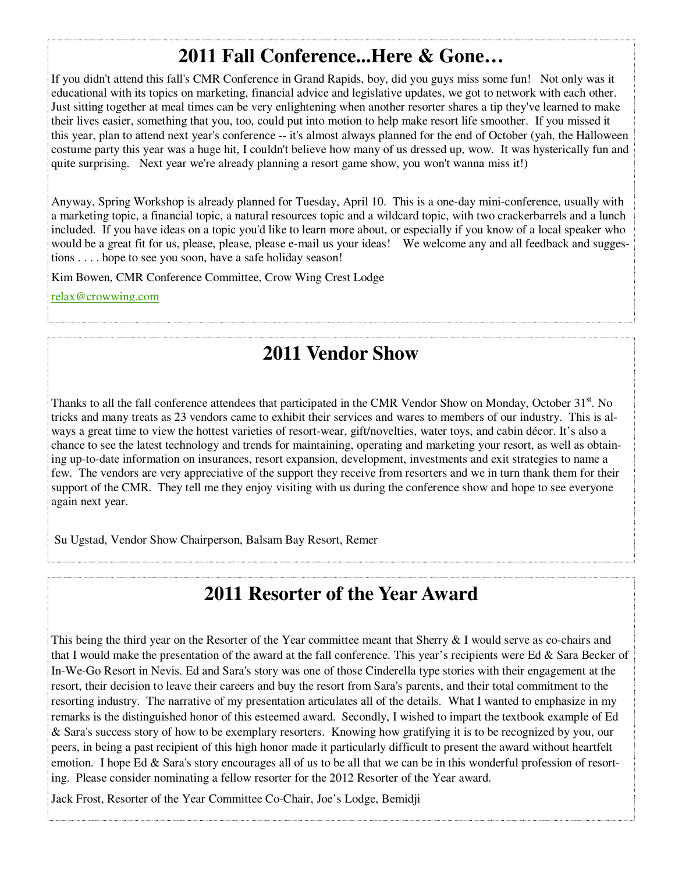## **2011 Fall Conference...Here & Gone…**

If you didn't attend this fall's CMR Conference in Grand Rapids, boy, did you guys miss some fun! Not only was it educational with its topics on marketing, financial advice and legislative updates, we got to network with each other. Just sitting together at meal times can be very enlightening when another resorter shares a tip they've learned to make their lives easier, something that you, too, could put into motion to help make resort life smoother. If you missed it this year, plan to attend next year's conference -- it's almost always planned for the end of October (yah, the Halloween costume party this year was a huge hit, I couldn't believe how many of us dressed up, wow. It was hysterically fun and quite surprising. Next year we're already planning a resort game show, you won't wanna miss it!)

Anyway, Spring Workshop is already planned for Tuesday, April 10. This is a one-day mini-conference, usually with a marketing topic, a financial topic, a natural resources topic and a wildcard topic, with two crackerbarrels and a lunch included. If you have ideas on a topic you'd like to learn more about, or especially if you know of a local speaker who would be a great fit for us, please, please, please e-mail us your ideas! We welcome any and all feedback and suggestions . . . . hope to see you soon, have a safe holiday season!

Kim Bowen, CMR Conference Committee, Crow Wing Crest Lodge

relax@crowwing.com

## **2011 Vendor Show**

Thanks to all the fall conference attendees that participated in the CMR Vendor Show on Monday, October 31<sup>st</sup>. No tricks and many treats as 23 vendors came to exhibit their services and wares to members of our industry. This is always a great time to view the hottest varieties of resort-wear, gift/novelties, water toys, and cabin décor. It's also a chance to see the latest technology and trends for maintaining, operating and marketing your resort, as well as obtaining up-to-date information on insurances, resort expansion, development, investments and exit strategies to name a few. The vendors are very appreciative of the support they receive from resorters and we in turn thank them for their support of the CMR. They tell me they enjoy visiting with us during the conference show and hope to see everyone again next year.

Su Ugstad, Vendor Show Chairperson, Balsam Bay Resort, Remer

## **2011 Resorter of the Year Award**

This being the third year on the Resorter of the Year committee meant that Sherry & I would serve as co-chairs and that I would make the presentation of the award at the fall conference. This year's recipients were Ed  $\&$  Sara Becker of In-We-Go Resort in Nevis. Ed and Sara's story was one of those Cinderella type stories with their engagement at the resort, their decision to leave their careers and buy the resort from Sara's parents, and their total commitment to the resorting industry. The narrative of my presentation articulates all of the details. What I wanted to emphasize in my remarks is the distinguished honor of this esteemed award. Secondly, I wished to impart the textbook example of Ed & Sara's success story of how to be exemplary resorters. Knowing how gratifying it is to be recognized by you, our peers, in being a past recipient of this high honor made it particularly difficult to present the award without heartfelt emotion. I hope Ed  $\&$  Sara's story encourages all of us to be all that we can be in this wonderful profession of resorting. Please consider nominating a fellow resorter for the 2012 Resorter of the Year award.

Jack Frost, Resorter of the Year Committee Co-Chair, Joe's Lodge, Bemidji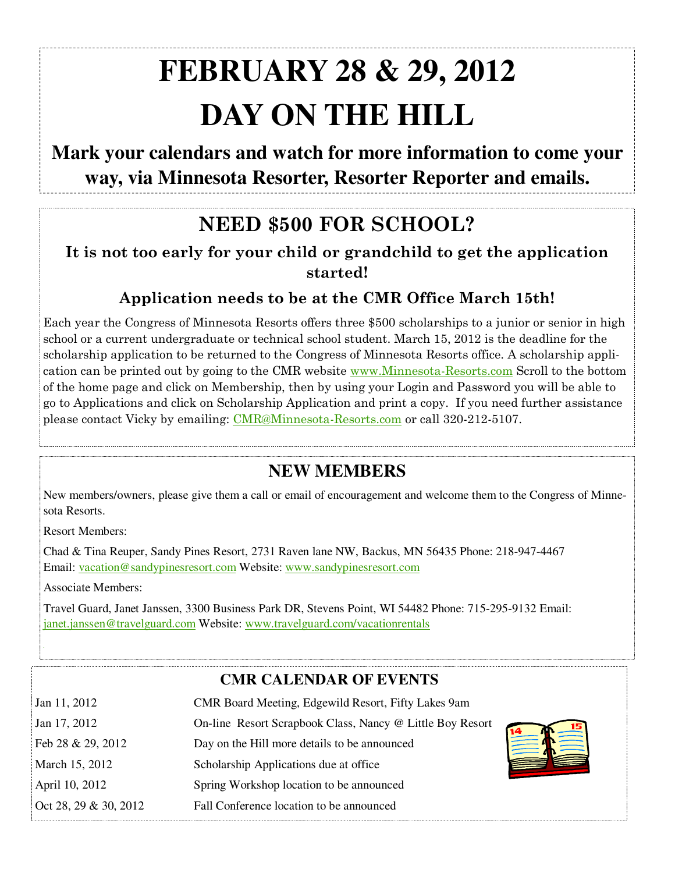# **FEBRUARY 28 & 29, 2012 DAY ON THE HILL**

## **Mark your calendars and watch for more information to come your way, via Minnesota Resorter, Resorter Reporter and emails.**

# **NEED \$500 FOR SCHOOL?**

**It is not too early for your child or grandchild to get the application started!** 

## **Application needs to be at the CMR Office March 15th!**

Each year the Congress of Minnesota Resorts offers three \$500 scholarships to a junior or senior in high school or a current undergraduate or technical school student. March 15, 2012 is the deadline for the scholarship application to be returned to the Congress of Minnesota Resorts office. A scholarship application can be printed out by going to the CMR website www.Minnesota-Resorts.com Scroll to the bottom of the home page and click on Membership, then by using your Login and Password you will be able to go to Applications and click on Scholarship Application and print a copy. If you need further assistance please contact Vicky by emailing: CMR@Minnesota-Resorts.com or call 320-212-5107.

## **NEW MEMBERS**

New members/owners, please give them a call or email of encouragement and welcome them to the Congress of Minnesota Resorts.

Resort Members:

Chad & Tina Reuper, Sandy Pines Resort, 2731 Raven lane NW, Backus, MN 56435 Phone: 218-947-4467 Email: vacation@sandypinesresort.com Website: www.sandypinesresort.com

Associate Members:

Travel Guard, Janet Janssen, 3300 Business Park DR, Stevens Point, WI 54482 Phone: 715-295-9132 Email: janet.janssen@travelguard.com Website: www.travelguard.com/vacationrentals

### **CMR CALENDAR OF EVENTS**

| Jan 11, 2012          | CMR Board Meeting, Edgewild Resort, Fifty Lakes 9am       |  |
|-----------------------|-----------------------------------------------------------|--|
| Jan 17, 2012          | On-line Resort Scrapbook Class, Nancy @ Little Boy Resort |  |
| Feb 28 & 29, 2012     | Day on the Hill more details to be announced              |  |
| March 15, 2012        | Scholarship Applications due at office                    |  |
| April 10, 2012        | Spring Workshop location to be announced                  |  |
| Oct 28, 29 & 30, 2012 | Fall Conference location to be announced                  |  |